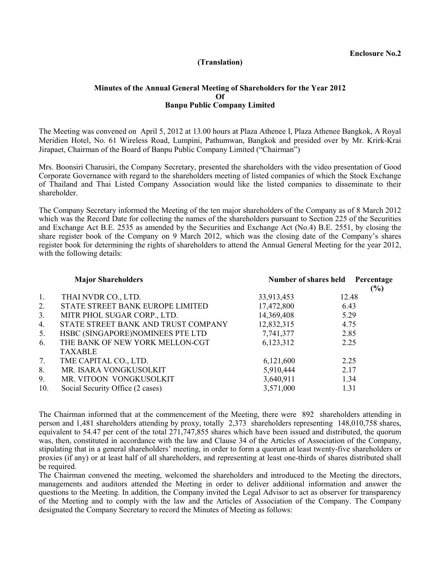## **(Translation)**

## **Minutes of the Annual General Meeting of Shareholders for the Year 2012 Of Banpu Public Company Limited**

The Meeting was convened on April 5, 2012 at 13.00 hours at Plaza Athenee I, Plaza Athenee Bangkok, A Royal Meridien Hotel, No. 61 Wireless Road, Lumpini, Pathumwan, Bangkok and presided over by Mr. Krirk-Krai Jirapaet, Chairman of the Board of Banpu Public Company Limited ("Chairman")

Mrs. Boonsiri Charusiri, the Company Secretary, presented the shareholders with the video presentation of Good Corporate Governance with regard to the shareholders meeting of listed companies of which the Stock Exchange of Thailand and Thai Listed Company Association would like the listed companies to disseminate to their shareholder.

The Company Secretary informed the Meeting of the ten major shareholders of the Company as of 8 March 2012 which was the Record Date for collecting the names of the shareholders pursuant to Section 225 of the Securities and Exchange Act B.E. 2535 as amended by the Securities and Exchange Act (No.4) B.E. 2551, by closing the share register book of the Company on 9 March 2012, which was the closing date of the Company's shares register book for determining the rights of shareholders to attend the Annual General Meeting for the year 2012, with the following details:

|                | <b>Major Shareholders</b>           |            | Number of shares held Percentage<br>(%) |
|----------------|-------------------------------------|------------|-----------------------------------------|
| 1.             | THAI NVDR CO., LTD.                 | 33,913,453 | 12.48                                   |
| 2.             | STATE STREET BANK EUROPE LIMITED    | 17,472,800 | 6.43                                    |
| 3 <sub>1</sub> | MITR PHOL SUGAR CORP., LTD.         | 14,369,408 | 5.29                                    |
| 4.             | STATE STREET BANK AND TRUST COMPANY | 12,832,315 | 4.75                                    |
| 5.             | HSBC (SINGAPORE)NOMINEES PTE LTD    | 7,741,377  | 2.85                                    |
| 6.             | THE BANK OF NEW YORK MELLON-CGT     | 6,123,312  | 2.25                                    |
|                | <b>TAXABLE</b>                      |            |                                         |
| 7.             | TME CAPITAL CO., LTD.               | 6,121,600  | 2.25                                    |
| 8.             | MR. ISARA VONGKUSOLKIT              | 5,910,444  | 2.17                                    |
| 9.             | MR. VITOON VONGKUSOLKIT             | 3,640,911  | 1.34                                    |
| 10.            | Social Security Office (2 cases)    | 3,571,000  | 1.31                                    |

The Chairman informed that at the commencement of the Meeting, there were 892 shareholders attending in person and 1,481 shareholders attending by proxy, totally 2,373 shareholders representing 148,010,758 shares, equivalent to 54.47 per cent of the total 271,747,855 shares which have been issued and distributed, the quorum was, then, constituted in accordance with the law and Clause 34 of the Articles of Association of the Company, stipulating that in a general shareholders' meeting, in order to form a quorum at least twenty-five shareholders or proxies (if any) or at least half of all shareholders, and representing at least one-thirds of shares distributed shall be required.

The Chairman convened the meeting, welcomed the shareholders and introduced to the Meeting the directors, managements and auditors attended the Meeting in order to deliver additional information and answer the questions to the Meeting. In addition, the Company invited the Legal Advisor to act as observer for transparency of the Meeting and to comply with the law and the Articles of Association of the Company. The Company designated the Company Secretary to record the Minutes of Meeting as follows: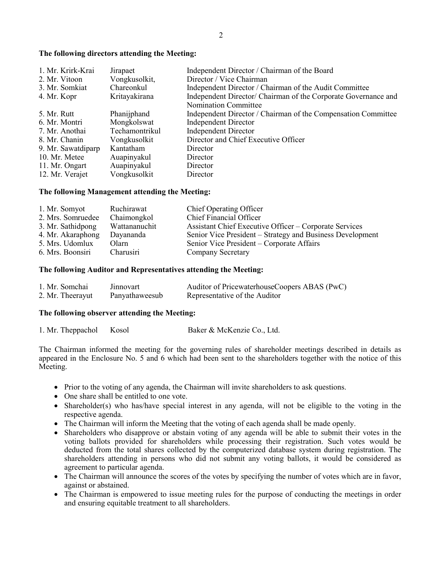#### **The following directors attending the Meeting:**

| 1. Mr. Krirk-Krai  | Jirapaet       | Independent Director / Chairman of the Board                   |
|--------------------|----------------|----------------------------------------------------------------|
| 2. Mr. Vitoon      | Vongkusolkit,  | Director / Vice Chairman                                       |
| 3. Mr. Somkiat     | Chareonkul     | Independent Director / Chairman of the Audit Committee         |
| 4. Mr. Kopr        | Kritayakirana  | Independent Director/ Chairman of the Corporate Governance and |
|                    |                | <b>Nomination Committee</b>                                    |
| 5. Mr. Rutt        | Phanijphand    | Independent Director / Chairman of the Compensation Committee  |
| 6. Mr. Montri      | Mongkolswat    | <b>Independent Director</b>                                    |
| 7. Mr. Anothai     | Techamontrikul | <b>Independent Director</b>                                    |
| 8. Mr. Chanin      | Vongkusolkit   | Director and Chief Executive Officer                           |
| 9. Mr. Sawatdiparp | Kantatham      | Director                                                       |
| 10. Mr. Metee      | Auapinyakul    | Director                                                       |
| 11. Mr. Ongart     | Auapinyakul    | Director                                                       |
| 12. Mr. Verajet    | Vongkusolkit   | Director                                                       |

#### **The following Management attending the Meeting:**

| 1. Mr. Somyot     | Ruchirawat    | <b>Chief Operating Officer</b>                            |
|-------------------|---------------|-----------------------------------------------------------|
| 2. Mrs. Somruedee | Chaimongkol   | <b>Chief Financial Officer</b>                            |
| 3. Mr. Sathidpong | Wattananuchit | Assistant Chief Executive Officer – Corporate Services    |
| 4. Mr. Akaraphong | Dayananda     | Senior Vice President – Strategy and Business Development |
| 5. Mrs. Udomlux   | Olarn         | Senior Vice President – Corporate Affairs                 |
| 6. Mrs. Boonsiri  | Charusiri     | Company Secretary                                         |

#### **The following Auditor and Representatives attending the Meeting:**

| 1. Mr. Somchai   | Jinnovart      | Auditor of PricewaterhouseCoopers ABAS (PwC) |
|------------------|----------------|----------------------------------------------|
| 2. Mr. Theerayut | Panyathaweesub | Representative of the Auditor                |

#### **The following observer attending the Meeting:**

1. Mr. Theppachol Kosol Baker & McKenzie Co., Ltd.

The Chairman informed the meeting for the governing rules of shareholder meetings described in details as appeared in the Enclosure No. 5 and 6 which had been sent to the shareholders together with the notice of this Meeting.

- Prior to the voting of any agenda, the Chairman will invite shareholders to ask questions.
- One share shall be entitled to one vote.
- Shareholder(s) who has/have special interest in any agenda, will not be eligible to the voting in the respective agenda.
- The Chairman will inform the Meeting that the voting of each agenda shall be made openly.
- Shareholders who disapprove or abstain voting of any agenda will be able to submit their votes in the voting ballots provided for shareholders while processing their registration. Such votes would be deducted from the total shares collected by the computerized database system during registration. The shareholders attending in persons who did not submit any voting ballots, it would be considered as agreement to particular agenda.
- The Chairman will announce the scores of the votes by specifying the number of votes which are in favor, against or abstained.
- The Chairman is empowered to issue meeting rules for the purpose of conducting the meetings in order and ensuring equitable treatment to all shareholders.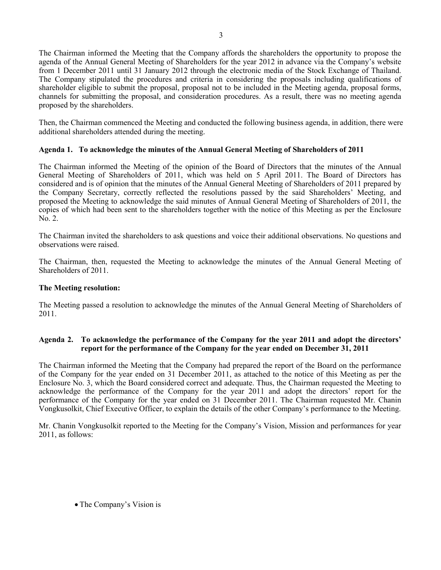The Chairman informed the Meeting that the Company affords the shareholders the opportunity to propose the agenda of the Annual General Meeting of Shareholders for the year 2012 in advance via the Company's website from 1 December 2011 until 31 January 2012 through the electronic media of the Stock Exchange of Thailand. The Company stipulated the procedures and criteria in considering the proposals including qualifications of shareholder eligible to submit the proposal, proposal not to be included in the Meeting agenda, proposal forms, channels for submitting the proposal, and consideration procedures. As a result, there was no meeting agenda proposed by the shareholders.

Then, the Chairman commenced the Meeting and conducted the following business agenda, in addition, there were additional shareholders attended during the meeting.

# **Agenda 1. To acknowledge the minutes of the Annual General Meeting of Shareholders of 2011**

The Chairman informed the Meeting of the opinion of the Board of Directors that the minutes of the Annual General Meeting of Shareholders of 2011, which was held on 5 April 2011. The Board of Directors has considered and is of opinion that the minutes of the Annual General Meeting of Shareholders of 2011 prepared by the Company Secretary, correctly reflected the resolutions passed by the said Shareholders' Meeting, and proposed the Meeting to acknowledge the said minutes of Annual General Meeting of Shareholders of 2011, the copies of which had been sent to the shareholders together with the notice of this Meeting as per the Enclosure No. 2.

The Chairman invited the shareholders to ask questions and voice their additional observations. No questions and observations were raised.

The Chairman, then, requested the Meeting to acknowledge the minutes of the Annual General Meeting of Shareholders of 2011.

# **The Meeting resolution:**

The Meeting passed a resolution to acknowledge the minutes of the Annual General Meeting of Shareholders of 2011.

# **Agenda 2. To acknowledge the performance of the Company for the year 2011 and adopt the directors' report for the performance of the Company for the year ended on December 31, 2011**

The Chairman informed the Meeting that the Company had prepared the report of the Board on the performance of the Company for the year ended on 31 December 2011, as attached to the notice of this Meeting as per the Enclosure No. 3, which the Board considered correct and adequate. Thus, the Chairman requested the Meeting to acknowledge the performance of the Company for the year 2011 and adopt the directors' report for the performance of the Company for the year ended on 31 December 2011. The Chairman requested Mr. Chanin Vongkusolkit, Chief Executive Officer, to explain the details of the other Company's performance to the Meeting.

Mr. Chanin Vongkusolkit reported to the Meeting for the Company's Vision, Mission and performances for year 2011, as follows:

• The Company's Vision is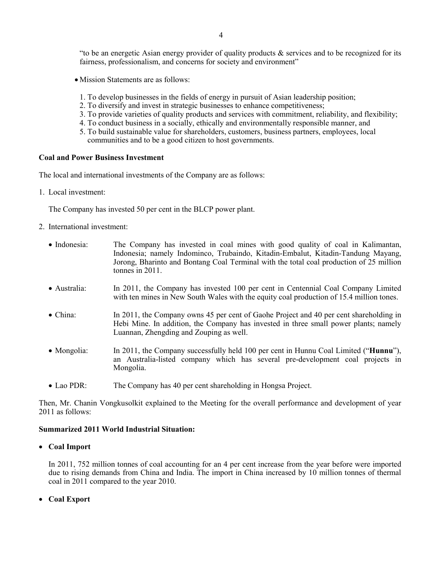"to be an energetic Asian energy provider of quality products  $\&$  services and to be recognized for its fairness, professionalism, and concerns for society and environment"

- Mission Statements are as follows:
- 1. To develop businesses in the fields of energy in pursuit of Asian leadership position;
- 2. To diversify and invest in strategic businesses to enhance competitiveness;
- 3. To provide varieties of quality products and services with commitment, reliability, and flexibility;
- 4. To conduct business in a socially, ethically and environmentally responsible manner, and
- 5. To build sustainable value for shareholders, customers, business partners, employees, local communities and to be a good citizen to host governments.

#### **Coal and Power Business Investment**

The local and international investments of the Company are as follows:

1. Local investment:

The Company has invested 50 per cent in the BLCP power plant.

- 2. International investment:
	- Indonesia: The Company has invested in coal mines with good quality of coal in Kalimantan, Indonesia; namely Indominco, Trubaindo, Kitadin-Embalut, Kitadin-Tandung Mayang, Jorong, Bharinto and Bontang Coal Terminal with the total coal production of 25 million tonnes in 2011.
	- Australia: In 2011, the Company has invested 100 per cent in Centennial Coal Company Limited with ten mines in New South Wales with the equity coal production of 15.4 million tones.
	- China: In 2011, the Company owns 45 per cent of Gaohe Project and 40 per cent shareholding in Hebi Mine. In addition, the Company has invested in three small power plants; namely Luannan, Zhengding and Zouping as well.
	- Mongolia: In 2011, the Company successfully held 100 per cent in Hunnu Coal Limited ("**Hunnu**"), an Australia-listed company which has several pre-development coal projects in Mongolia.
	- Lao PDR: The Company has 40 per cent shareholding in Hongsa Project.

Then, Mr. Chanin Vongkusolkit explained to the Meeting for the overall performance and development of year 2011 as follows:

# **Summarized 2011 World Industrial Situation:**

• **Coal Import** 

In 2011, 752 million tonnes of coal accounting for an 4 per cent increase from the year before were imported due to rising demands from China and India. The import in China increased by 10 million tonnes of thermal coal in 2011 compared to the year 2010.

• **Coal Export**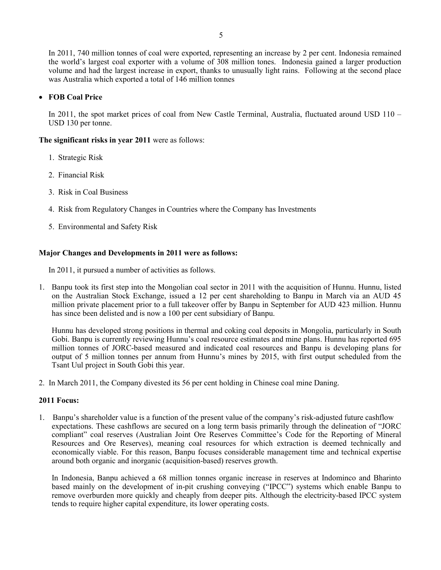In 2011, 740 million tonnes of coal were exported, representing an increase by 2 per cent. Indonesia remained the world's largest coal exporter with a volume of 308 million tones. Indonesia gained a larger production volume and had the largest increase in export, thanks to unusually light rains. Following at the second place was Australia which exported a total of 146 million tonnes

# • **FOB Coal Price**

In 2011, the spot market prices of coal from New Castle Terminal, Australia, fluctuated around USD 110 – USD 130 per tonne.

**The significant risks in year 2011** were as follows:

- 1. Strategic Risk
- 2. Financial Risk
- 3. Risk in Coal Business
- 4. Risk from Regulatory Changes in Countries where the Company has Investments
- 5. Environmental and Safety Risk

## **Major Changes and Developments in 2011 were as follows:**

In 2011, it pursued a number of activities as follows.

1. Banpu took its first step into the Mongolian coal sector in 2011 with the acquisition of Hunnu. Hunnu, listed on the Australian Stock Exchange, issued a 12 per cent shareholding to Banpu in March via an AUD 45 million private placement prior to a full takeover offer by Banpu in September for AUD 423 million. Hunnu has since been delisted and is now a 100 per cent subsidiary of Banpu.

Hunnu has developed strong positions in thermal and coking coal deposits in Mongolia, particularly in South Gobi. Banpu is currently reviewing Hunnu's coal resource estimates and mine plans. Hunnu has reported 695 million tonnes of JORC-based measured and indicated coal resources and Banpu is developing plans for output of 5 million tonnes per annum from Hunnu's mines by 2015, with first output scheduled from the Tsant Uul project in South Gobi this year.

2. In March 2011, the Company divested its 56 per cent holding in Chinese coal mine Daning.

### **2011 Focus:**

1. Banpu's shareholder value is a function of the present value of the company's risk-adjusted future cashflow expectations. These cashflows are secured on a long term basis primarily through the delineation of "JORC compliant" coal reserves (Australian Joint Ore Reserves Committee's Code for the Reporting of Mineral Resources and Ore Reserves), meaning coal resources for which extraction is deemed technically and economically viable. For this reason, Banpu focuses considerable management time and technical expertise around both organic and inorganic (acquisition-based) reserves growth.

In Indonesia, Banpu achieved a 68 million tonnes organic increase in reserves at Indominco and Bharinto based mainly on the development of in-pit crushing conveying ("IPCC") systems which enable Banpu to remove overburden more quickly and cheaply from deeper pits. Although the electricity-based IPCC system tends to require higher capital expenditure, its lower operating costs.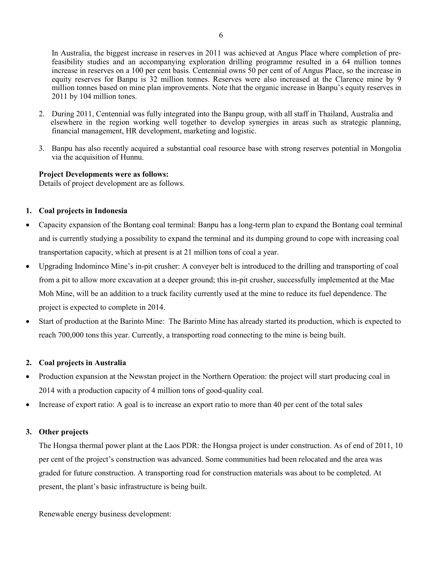In Australia, the biggest increase in reserves in 2011 was achieved at Angus Place where completion of prefeasibility studies and an accompanying exploration drilling programme resulted in a 64 million tonnes increase in reserves on a 100 per cent basis. Centennial owns 50 per cent of of Angus Place, so the increase in equity reserves for Banpu is 32 million tonnes. Reserves were also increased at the Clarence mine by 9 million tonnes based on mine plan improvements. Note that the organic increase in Banpu's equity reserves in 2011 by 104 million tones.

- 2. During 2011, Centennial was fully integrated into the Banpu group, with all staff in Thailand, Australia and elsewhere in the region working well together to develop synergies in areas such as strategic planning, financial management, HR development, marketing and logistic.
- 3. Banpu has also recently acquired a substantial coal resource base with strong reserves potential in Mongolia via the acquisition of Hunnu.

## **Project Developments were as follows:**

Details of project development are as follows.

## **1. Coal projects in Indonesia**

- Capacity expansion of the Bontang coal terminal: Banpu has a long-term plan to expand the Bontang coal terminal and is currently studying a possibility to expand the terminal and its dumping ground to cope with increasing coal transportation capacity, which at present is at 21 million tons of coal a year.
- Upgrading Indominco Mine's in-pit crusher: A conveyer belt is introduced to the drilling and transporting of coal from a pit to allow more excavation at a deeper ground; this in-pit crusher, successfully implemented at the Mae Moh Mine, will be an addition to a truck facility currently used at the mine to reduce its fuel dependence. The project is expected to complete in 2014.
- Start of production at the Barinto Mine: The Barinto Mine has already started its production, which is expected to reach 700,000 tons this year. Currently, a transporting road connecting to the mine is being built.

# **2. Coal projects in Australia**

- Production expansion at the Newstan project in the Northern Operation: the project will start producing coal in 2014 with a production capacity of 4 million tons of good-quality coal.
- Increase of export ratio: A goal is to increase an export ratio to more than 40 per cent of the total sales

# **3. Other projects**

The Hongsa thermal power plant at the Laos PDR: the Hongsa project is under construction. As of end of 2011, 10 per cent of the project's construction was advanced. Some communities had been relocated and the area was graded for future construction. A transporting road for construction materials was about to be completed. At present, the plant's basic infrastructure is being built.

Renewable energy business development: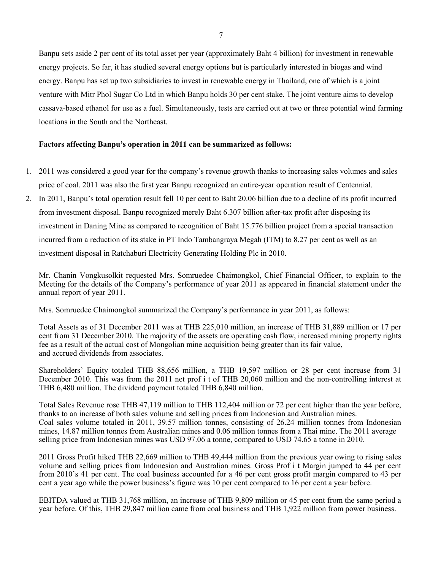Banpu sets aside 2 per cent of its total asset per year (approximately Baht 4 billion) for investment in renewable energy projects. So far, it has studied several energy options but is particularly interested in biogas and wind energy. Banpu has set up two subsidiaries to invest in renewable energy in Thailand, one of which is a joint venture with Mitr Phol Sugar Co Ltd in which Banpu holds 30 per cent stake. The joint venture aims to develop cassava-based ethanol for use as a fuel. Simultaneously, tests are carried out at two or three potential wind farming locations in the South and the Northeast.

# **Factors affecting Banpu's operation in 2011 can be summarized as follows:**

- 1. 2011 was considered a good year for the company's revenue growth thanks to increasing sales volumes and sales price of coal. 2011 was also the first year Banpu recognized an entire-year operation result of Centennial.
- 2. In 2011, Banpu's total operation result fell 10 per cent to Baht 20.06 billion due to a decline of its profit incurred from investment disposal. Banpu recognized merely Baht 6.307 billion after-tax profit after disposing its investment in Daning Mine as compared to recognition of Baht 15.776 billion project from a special transaction incurred from a reduction of its stake in PT Indo Tambangraya Megah (ITM) to 8.27 per cent as well as an investment disposal in Ratchaburi Electricity Generating Holding Plc in 2010.

Mr. Chanin Vongkusolkit requested Mrs. Somruedee Chaimongkol, Chief Financial Officer, to explain to the Meeting for the details of the Company's performance of year 2011 as appeared in financial statement under the annual report of year 2011.

Mrs. Somruedee Chaimongkol summarized the Company's performance in year 2011, as follows:

Total Assets as of 31 December 2011 was at THB 225,010 million, an increase of THB 31,889 million or 17 per cent from 31 December 2010. The majority of the assets are operating cash flow, increased mining property rights fee as a result of the actual cost of Mongolian mine acquisition being greater than its fair value, and accrued dividends from associates.

Shareholders' Equity totaled THB 88,656 million, a THB 19,597 million or 28 per cent increase from 31 December 2010. This was from the 2011 net prof i t of THB 20,060 million and the non-controlling interest at THB 6,480 million. The dividend payment totaled THB 6,840 million.

Total Sales Revenue rose THB 47,119 million to THB 112,404 million or 72 per cent higher than the year before, thanks to an increase of both sales volume and selling prices from Indonesian and Australian mines. Coal sales volume totaled in 2011, 39.57 million tonnes, consisting of 26.24 million tonnes from Indonesian mines, 14.87 million tonnes from Australian mines and 0.06 million tonnes from a Thai mine. The 2011 average selling price from Indonesian mines was USD 97.06 a tonne, compared to USD 74.65 a tonne in 2010.

2011 Gross Profit hiked THB 22,669 million to THB 49,444 million from the previous year owing to rising sales volume and selling prices from Indonesian and Australian mines. Gross Prof i t Margin jumped to 44 per cent from 2010's 41 per cent. The coal business accounted for a 46 per cent gross profit margin compared to 43 per cent a year ago while the power business's figure was 10 per cent compared to 16 per cent a year before.

EBITDA valued at THB 31,768 million, an increase of THB 9,809 million or 45 per cent from the same period a year before. Of this, THB 29,847 million came from coal business and THB 1,922 million from power business.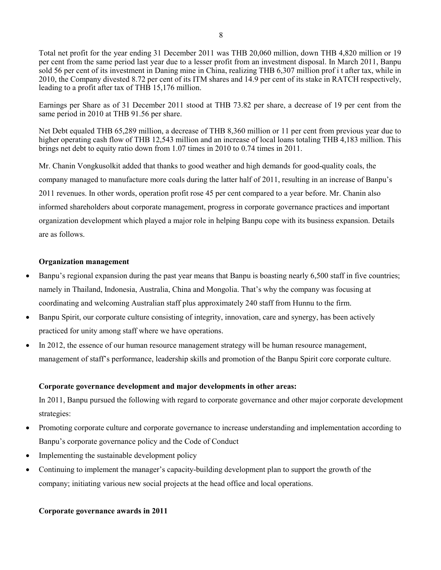Total net profit for the year ending 31 December 2011 was THB 20,060 million, down THB 4,820 million or 19 per cent from the same period last year due to a lesser profit from an investment disposal. In March 2011, Banpu sold 56 per cent of its investment in Daning mine in China, realizing THB 6,307 million prof i t after tax, while in 2010, the Company divested 8.72 per cent of its ITM shares and 14.9 per cent of its stake in RATCH respectively, leading to a profit after tax of THB 15,176 million.

Earnings per Share as of 31 December 2011 stood at THB 73.82 per share, a decrease of 19 per cent from the same period in 2010 at THB 91.56 per share.

Net Debt equaled THB 65,289 million, a decrease of THB 8,360 million or 11 per cent from previous year due to higher operating cash flow of THB 12,543 million and an increase of local loans totaling THB 4,183 million. This brings net debt to equity ratio down from 1.07 times in 2010 to 0.74 times in 2011.

Mr. Chanin Vongkusolkit added that thanks to good weather and high demands for good-quality coals, the company managed to manufacture more coals during the latter half of 2011, resulting in an increase of Banpu's 2011 revenues. In other words, operation profit rose 45 per cent compared to a year before. Mr. Chanin also informed shareholders about corporate management, progress in corporate governance practices and important organization development which played a major role in helping Banpu cope with its business expansion. Details are as follows.

# **Organization management**

- Banpu's regional expansion during the past year means that Banpu is boasting nearly 6,500 staff in five countries; namely in Thailand, Indonesia, Australia, China and Mongolia. That's why the company was focusing at coordinating and welcoming Australian staff plus approximately 240 staff from Hunnu to the firm.
- Banpu Spirit, our corporate culture consisting of integrity, innovation, care and synergy, has been actively practiced for unity among staff where we have operations.
- In 2012, the essence of our human resource management strategy will be human resource management, management of staff's performance, leadership skills and promotion of the Banpu Spirit core corporate culture.

# **Corporate governance development and major developments in other areas:**

In 2011, Banpu pursued the following with regard to corporate governance and other major corporate development strategies:

- Promoting corporate culture and corporate governance to increase understanding and implementation according to Banpu's corporate governance policy and the Code of Conduct
- Implementing the sustainable development policy
- Continuing to implement the manager's capacity-building development plan to support the growth of the company; initiating various new social projects at the head office and local operations.

# **Corporate governance awards in 2011**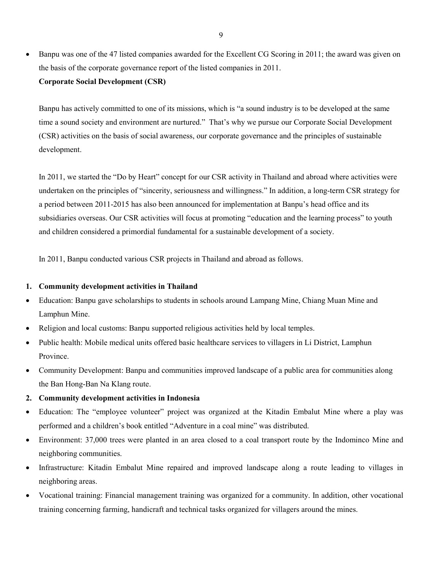• Banpu was one of the 47 listed companies awarded for the Excellent CG Scoring in 2011; the award was given on the basis of the corporate governance report of the listed companies in 2011. **Corporate Social Development (CSR)** 

Banpu has actively committed to one of its missions, which is "a sound industry is to be developed at the same time a sound society and environment are nurtured." That's why we pursue our Corporate Social Development (CSR) activities on the basis of social awareness, our corporate governance and the principles of sustainable development.

In 2011, we started the "Do by Heart" concept for our CSR activity in Thailand and abroad where activities were undertaken on the principles of "sincerity, seriousness and willingness." In addition, a long-term CSR strategy for a period between 2011-2015 has also been announced for implementation at Banpu's head office and its subsidiaries overseas. Our CSR activities will focus at promoting "education and the learning process" to youth and children considered a primordial fundamental for a sustainable development of a society.

In 2011, Banpu conducted various CSR projects in Thailand and abroad as follows.

### **1. Community development activities in Thailand**

- Education: Banpu gave scholarships to students in schools around Lampang Mine, Chiang Muan Mine and Lamphun Mine.
- Religion and local customs: Banpu supported religious activities held by local temples.
- Public health: Mobile medical units offered basic healthcare services to villagers in Li District, Lamphun Province.
- Community Development: Banpu and communities improved landscape of a public area for communities along the Ban Hong-Ban Na Klang route.

# **2. Community development activities in Indonesia**

- Education: The "employee volunteer" project was organized at the Kitadin Embalut Mine where a play was performed and a children's book entitled "Adventure in a coal mine" was distributed.
- Environment: 37,000 trees were planted in an area closed to a coal transport route by the Indominco Mine and neighboring communities.
- Infrastructure: Kitadin Embalut Mine repaired and improved landscape along a route leading to villages in neighboring areas.
- Vocational training: Financial management training was organized for a community. In addition, other vocational training concerning farming, handicraft and technical tasks organized for villagers around the mines.

9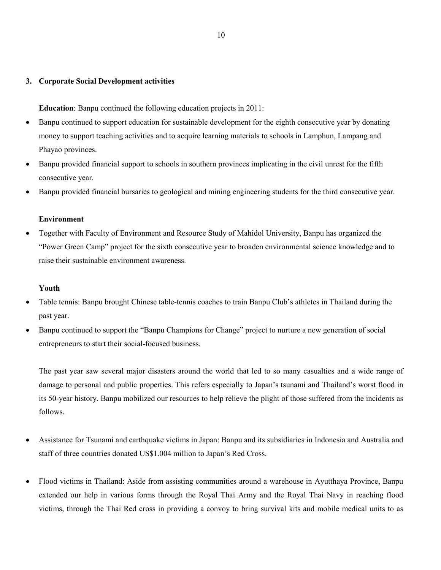# **3. Corporate Social Development activities**

**Education**: Banpu continued the following education projects in 2011:

- Banpu continued to support education for sustainable development for the eighth consecutive year by donating money to support teaching activities and to acquire learning materials to schools in Lamphun, Lampang and Phayao provinces.
- Banpu provided financial support to schools in southern provinces implicating in the civil unrest for the fifth consecutive year.
- Banpu provided financial bursaries to geological and mining engineering students for the third consecutive year.

# **Environment**

• Together with Faculty of Environment and Resource Study of Mahidol University, Banpu has organized the "Power Green Camp" project for the sixth consecutive year to broaden environmental science knowledge and to raise their sustainable environment awareness.

## **Youth**

- Table tennis: Banpu brought Chinese table-tennis coaches to train Banpu Club's athletes in Thailand during the past year.
- Banpu continued to support the "Banpu Champions for Change" project to nurture a new generation of social entrepreneurs to start their social-focused business.

The past year saw several major disasters around the world that led to so many casualties and a wide range of damage to personal and public properties. This refers especially to Japan's tsunami and Thailand's worst flood in its 50-year history. Banpu mobilized our resources to help relieve the plight of those suffered from the incidents as follows.

- Assistance for Tsunami and earthquake victims in Japan: Banpu and its subsidiaries in Indonesia and Australia and staff of three countries donated US\$1.004 million to Japan's Red Cross.
- Flood victims in Thailand: Aside from assisting communities around a warehouse in Ayutthaya Province, Banpu extended our help in various forms through the Royal Thai Army and the Royal Thai Navy in reaching flood victims, through the Thai Red cross in providing a convoy to bring survival kits and mobile medical units to as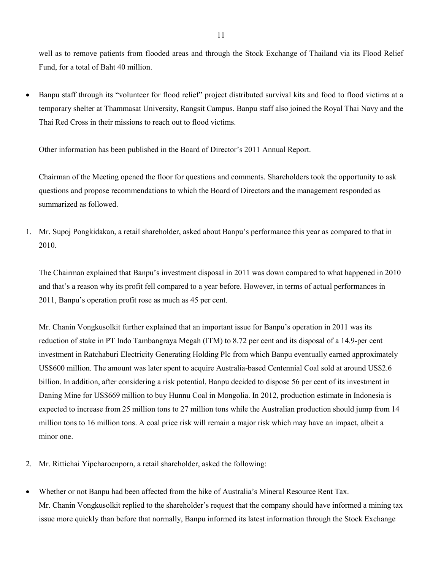well as to remove patients from flooded areas and through the Stock Exchange of Thailand via its Flood Relief Fund, for a total of Baht 40 million.

• Banpu staff through its "volunteer for flood relief" project distributed survival kits and food to flood victims at a temporary shelter at Thammasat University, Rangsit Campus. Banpu staff also joined the Royal Thai Navy and the Thai Red Cross in their missions to reach out to flood victims.

Other information has been published in the Board of Director's 2011 Annual Report.

Chairman of the Meeting opened the floor for questions and comments. Shareholders took the opportunity to ask questions and propose recommendations to which the Board of Directors and the management responded as summarized as followed.

1. Mr. Supoj Pongkidakan, a retail shareholder, asked about Banpu's performance this year as compared to that in 2010.

The Chairman explained that Banpu's investment disposal in 2011 was down compared to what happened in 2010 and that's a reason why its profit fell compared to a year before. However, in terms of actual performances in 2011, Banpu's operation profit rose as much as 45 per cent.

Mr. Chanin Vongkusolkit further explained that an important issue for Banpu's operation in 2011 was its reduction of stake in PT Indo Tambangraya Megah (ITM) to 8.72 per cent and its disposal of a 14.9-per cent investment in Ratchaburi Electricity Generating Holding Plc from which Banpu eventually earned approximately US\$600 million. The amount was later spent to acquire Australia-based Centennial Coal sold at around US\$2.6 billion. In addition, after considering a risk potential, Banpu decided to dispose 56 per cent of its investment in Daning Mine for US\$669 million to buy Hunnu Coal in Mongolia. In 2012, production estimate in Indonesia is expected to increase from 25 million tons to 27 million tons while the Australian production should jump from 14 million tons to 16 million tons. A coal price risk will remain a major risk which may have an impact, albeit a minor one.

- 2. Mr. Rittichai Yipcharoenporn, a retail shareholder, asked the following:
- Whether or not Banpu had been affected from the hike of Australia's Mineral Resource Rent Tax. Mr. Chanin Vongkusolkit replied to the shareholder's request that the company should have informed a mining tax issue more quickly than before that normally, Banpu informed its latest information through the Stock Exchange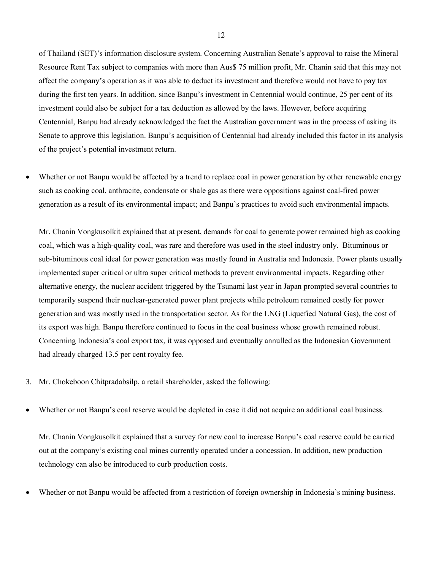of Thailand (SET)'s information disclosure system. Concerning Australian Senate's approval to raise the Mineral Resource Rent Tax subject to companies with more than Aus\$ 75 million profit, Mr. Chanin said that this may not affect the company's operation as it was able to deduct its investment and therefore would not have to pay tax during the first ten years. In addition, since Banpu's investment in Centennial would continue, 25 per cent of its investment could also be subject for a tax deduction as allowed by the laws. However, before acquiring Centennial, Banpu had already acknowledged the fact the Australian government was in the process of asking its Senate to approve this legislation. Banpu's acquisition of Centennial had already included this factor in its analysis of the project's potential investment return.

Whether or not Banpu would be affected by a trend to replace coal in power generation by other renewable energy such as cooking coal, anthracite, condensate or shale gas as there were oppositions against coal-fired power generation as a result of its environmental impact; and Banpu's practices to avoid such environmental impacts.

Mr. Chanin Vongkusolkit explained that at present, demands for coal to generate power remained high as cooking coal, which was a high-quality coal, was rare and therefore was used in the steel industry only. Bituminous or sub-bituminous coal ideal for power generation was mostly found in Australia and Indonesia. Power plants usually implemented super critical or ultra super critical methods to prevent environmental impacts. Regarding other alternative energy, the nuclear accident triggered by the Tsunami last year in Japan prompted several countries to temporarily suspend their nuclear-generated power plant projects while petroleum remained costly for power generation and was mostly used in the transportation sector. As for the LNG (Liquefied Natural Gas), the cost of its export was high. Banpu therefore continued to focus in the coal business whose growth remained robust. Concerning Indonesia's coal export tax, it was opposed and eventually annulled as the Indonesian Government had already charged 13.5 per cent royalty fee.

- 3. Mr. Chokeboon Chitpradabsilp, a retail shareholder, asked the following:
- Whether or not Banpu's coal reserve would be depleted in case it did not acquire an additional coal business.

Mr. Chanin Vongkusolkit explained that a survey for new coal to increase Banpu's coal reserve could be carried out at the company's existing coal mines currently operated under a concession. In addition, new production technology can also be introduced to curb production costs.

• Whether or not Banpu would be affected from a restriction of foreign ownership in Indonesia's mining business.

12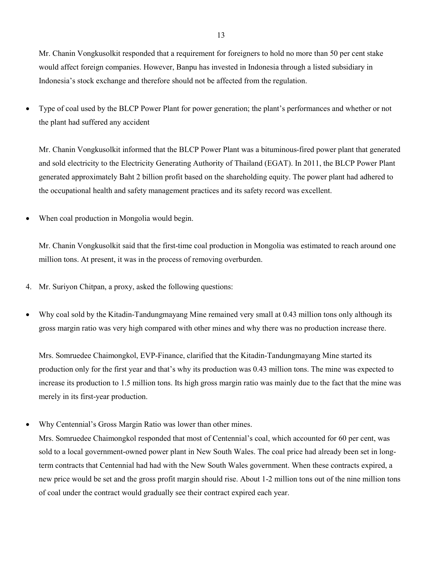Mr. Chanin Vongkusolkit responded that a requirement for foreigners to hold no more than 50 per cent stake would affect foreign companies. However, Banpu has invested in Indonesia through a listed subsidiary in Indonesia's stock exchange and therefore should not be affected from the regulation.

• Type of coal used by the BLCP Power Plant for power generation; the plant's performances and whether or not the plant had suffered any accident

Mr. Chanin Vongkusolkit informed that the BLCP Power Plant was a bituminous-fired power plant that generated and sold electricity to the Electricity Generating Authority of Thailand (EGAT). In 2011, the BLCP Power Plant generated approximately Baht 2 billion profit based on the shareholding equity. The power plant had adhered to the occupational health and safety management practices and its safety record was excellent.

When coal production in Mongolia would begin.

Mr. Chanin Vongkusolkit said that the first-time coal production in Mongolia was estimated to reach around one million tons. At present, it was in the process of removing overburden.

- 4. Mr. Suriyon Chitpan, a proxy, asked the following questions:
- Why coal sold by the Kitadin-Tandungmayang Mine remained very small at 0.43 million tons only although its gross margin ratio was very high compared with other mines and why there was no production increase there.

Mrs. Somruedee Chaimongkol, EVP-Finance, clarified that the Kitadin-Tandungmayang Mine started its production only for the first year and that's why its production was 0.43 million tons. The mine was expected to increase its production to 1.5 million tons. Its high gross margin ratio was mainly due to the fact that the mine was merely in its first-year production.

• Why Centennial's Gross Margin Ratio was lower than other mines.

Mrs. Somruedee Chaimongkol responded that most of Centennial's coal, which accounted for 60 per cent, was sold to a local government-owned power plant in New South Wales. The coal price had already been set in longterm contracts that Centennial had had with the New South Wales government. When these contracts expired, a new price would be set and the gross profit margin should rise. About 1-2 million tons out of the nine million tons of coal under the contract would gradually see their contract expired each year.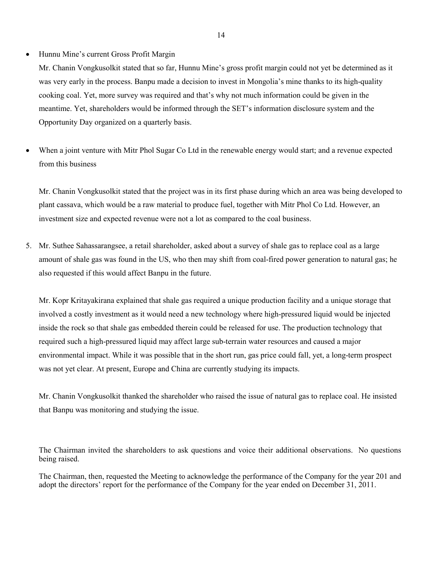## • Hunnu Mine's current Gross Profit Margin

Mr. Chanin Vongkusolkit stated that so far, Hunnu Mine's gross profit margin could not yet be determined as it was very early in the process. Banpu made a decision to invest in Mongolia's mine thanks to its high-quality cooking coal. Yet, more survey was required and that's why not much information could be given in the meantime. Yet, shareholders would be informed through the SET's information disclosure system and the Opportunity Day organized on a quarterly basis.

• When a joint venture with Mitr Phol Sugar Co Ltd in the renewable energy would start; and a revenue expected from this business

Mr. Chanin Vongkusolkit stated that the project was in its first phase during which an area was being developed to plant cassava, which would be a raw material to produce fuel, together with Mitr Phol Co Ltd. However, an investment size and expected revenue were not a lot as compared to the coal business.

5. Mr. Suthee Sahassarangsee, a retail shareholder, asked about a survey of shale gas to replace coal as a large amount of shale gas was found in the US, who then may shift from coal-fired power generation to natural gas; he also requested if this would affect Banpu in the future.

Mr. Kopr Kritayakirana explained that shale gas required a unique production facility and a unique storage that involved a costly investment as it would need a new technology where high-pressured liquid would be injected inside the rock so that shale gas embedded therein could be released for use. The production technology that required such a high-pressured liquid may affect large sub-terrain water resources and caused a major environmental impact. While it was possible that in the short run, gas price could fall, yet, a long-term prospect was not yet clear. At present, Europe and China are currently studying its impacts.

Mr. Chanin Vongkusolkit thanked the shareholder who raised the issue of natural gas to replace coal. He insisted that Banpu was monitoring and studying the issue.

The Chairman invited the shareholders to ask questions and voice their additional observations. No questions being raised.

The Chairman, then, requested the Meeting to acknowledge the performance of the Company for the year 201 and adopt the directors' report for the performance of the Company for the year ended on December 31, 2011.

14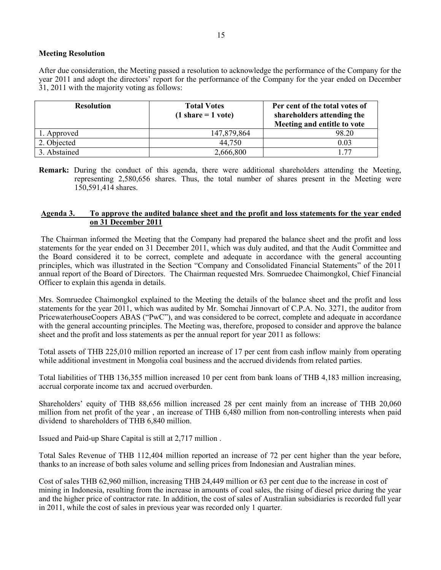# **Meeting Resolution**

After due consideration, the Meeting passed a resolution to acknowledge the performance of the Company for the year 2011 and adopt the directors' report for the performance of the Company for the year ended on December 31, 2011 with the majority voting as follows:

| <b>Resolution</b> | <b>Total Votes</b><br>$(1 share = 1 vote)$ | Per cent of the total votes of<br>shareholders attending the<br>Meeting and entitle to vote |
|-------------------|--------------------------------------------|---------------------------------------------------------------------------------------------|
| 1. Approved       | 147,879,864                                | 98.20                                                                                       |
| 2. Objected       | 44,750                                     | 0.03                                                                                        |
| 3. Abstained      | 2,666,800                                  | -77                                                                                         |

**Remark:** During the conduct of this agenda, there were additional shareholders attending the Meeting, representing 2,580,656 shares. Thus, the total number of shares present in the Meeting were 150,591,414 shares.

## **Agenda 3. To approve the audited balance sheet and the profit and loss statements for the year ended on 31 December 2011**

The Chairman informed the Meeting that the Company had prepared the balance sheet and the profit and loss statements for the year ended on 31 December 2011, which was duly audited, and that the Audit Committee and the Board considered it to be correct, complete and adequate in accordance with the general accounting principles, which was illustrated in the Section "Company and Consolidated Financial Statements" of the 2011 annual report of the Board of Directors. The Chairman requested Mrs. Somruedee Chaimongkol, Chief Financial Officer to explain this agenda in details.

Mrs. Somruedee Chaimongkol explained to the Meeting the details of the balance sheet and the profit and loss statements for the year 2011, which was audited by Mr. Somchai Jinnovart of C.P.A. No. 3271, the auditor from PricewaterhouseCoopers ABAS ("PwC"), and was considered to be correct, complete and adequate in accordance with the general accounting principles. The Meeting was, therefore, proposed to consider and approve the balance sheet and the profit and loss statements as per the annual report for year 2011 as follows:

Total assets of THB 225,010 million reported an increase of 17 per cent from cash inflow mainly from operating while additional investment in Mongolia coal business and the accrued dividends from related parties.

Total liabilities of THB 136,355 million increased 10 per cent from bank loans of THB 4,183 million increasing, accrual corporate income tax and accrued overburden.

Shareholders' equity of THB 88,656 million increased 28 per cent mainly from an increase of THB 20,060 million from net profit of the year , an increase of THB 6,480 million from non-controlling interests when paid dividend to shareholders of THB 6,840 million.

Issued and Paid-up Share Capital is still at 2,717 million .

Total Sales Revenue of THB 112,404 million reported an increase of 72 per cent higher than the year before, thanks to an increase of both sales volume and selling prices from Indonesian and Australian mines.

Cost of sales THB 62,960 million, increasing THB 24,449 million or 63 per cent due to the increase in cost of mining in Indonesia, resulting from the increase in amounts of coal sales, the rising of diesel price during the year and the higher price of contractor rate. In addition, the cost of sales of Australian subsidiaries is recorded full year in 2011, while the cost of sales in previous year was recorded only 1 quarter.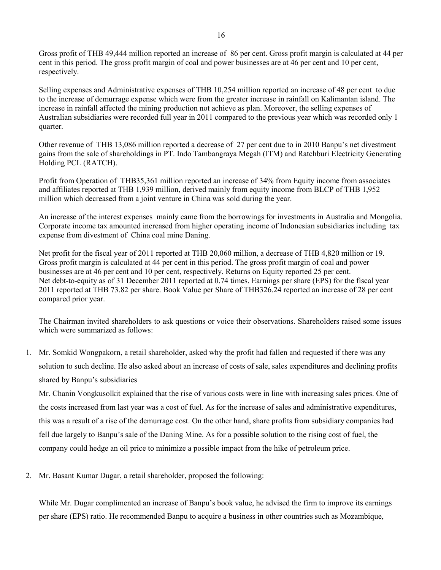Gross profit of THB 49,444 million reported an increase of 86 per cent. Gross profit margin is calculated at 44 per cent in this period. The gross profit margin of coal and power businesses are at 46 per cent and 10 per cent, respectively.

Selling expenses and Administrative expenses of THB 10,254 million reported an increase of 48 per cent to due to the increase of demurrage expense which were from the greater increase in rainfall on Kalimantan island. The increase in rainfall affected the mining production not achieve as plan. Moreover, the selling expenses of Australian subsidiaries were recorded full year in 2011 compared to the previous year which was recorded only 1 quarter.

Other revenue of THB 13,086 million reported a decrease of 27 per cent due to in 2010 Banpu's net divestment gains from the sale of shareholdings in PT. Indo Tambangraya Megah (ITM) and Ratchburi Electricity Generating Holding PCL (RATCH).

Profit from Operation of THB35,361 million reported an increase of 34% from Equity income from associates and affiliates reported at THB 1,939 million, derived mainly from equity income from BLCP of THB 1,952 million which decreased from a joint venture in China was sold during the year.

An increase of the interest expenses mainly came from the borrowings for investments in Australia and Mongolia. Corporate income tax amounted increased from higher operating income of Indonesian subsidiaries including tax expense from divestment of China coal mine Daning.

Net profit for the fiscal year of 2011 reported at THB 20,060 million, a decrease of THB 4,820 million or 19. Gross profit margin is calculated at 44 per cent in this period. The gross profit margin of coal and power businesses are at 46 per cent and 10 per cent, respectively. Returns on Equity reported 25 per cent. Net debt-to-equity as of 31 December 2011 reported at 0.74 times. Earnings per share (EPS) for the fiscal year 2011 reported at THB 73.82 per share. Book Value per Share of THB326.24 reported an increase of 28 per cent compared prior year.

The Chairman invited shareholders to ask questions or voice their observations. Shareholders raised some issues which were summarized as follows:

1. Mr. Somkid Wongpakorn, a retail shareholder, asked why the profit had fallen and requested if there was any solution to such decline. He also asked about an increase of costs of sale, sales expenditures and declining profits shared by Banpu's subsidiaries

Mr. Chanin Vongkusolkit explained that the rise of various costs were in line with increasing sales prices. One of the costs increased from last year was a cost of fuel. As for the increase of sales and administrative expenditures, this was a result of a rise of the demurrage cost. On the other hand, share profits from subsidiary companies had fell due largely to Banpu's sale of the Daning Mine. As for a possible solution to the rising cost of fuel, the company could hedge an oil price to minimize a possible impact from the hike of petroleum price.

2. Mr. Basant Kumar Dugar, a retail shareholder, proposed the following:

While Mr. Dugar complimented an increase of Banpu's book value, he advised the firm to improve its earnings per share (EPS) ratio. He recommended Banpu to acquire a business in other countries such as Mozambique,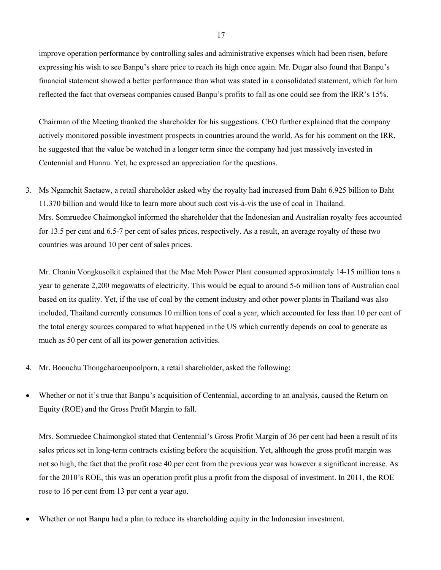improve operation performance by controlling sales and administrative expenses which had been risen, before expressing his wish to see Banpu's share price to reach its high once again. Mr. Dugar also found that Banpu's financial statement showed a better performance than what was stated in a consolidated statement, which for him reflected the fact that overseas companies caused Banpu's profits to fall as one could see from the IRR's 15%.

Chairman of the Meeting thanked the shareholder for his suggestions. CEO further explained that the company actively monitored possible investment prospects in countries around the world. As for his comment on the IRR, he suggested that the value be watched in a longer term since the company had just massively invested in Centennial and Hunnu. Yet, he expressed an appreciation for the questions.

3. Ms Ngamchit Saetaew, a retail shareholder asked why the royalty had increased from Baht 6.925 billion to Baht 11.370 billion and would like to learn more about such cost vis-à-vis the use of coal in Thailand. Mrs. Somruedee Chaimongkol informed the shareholder that the Indonesian and Australian royalty fees accounted for 13.5 per cent and 6.5-7 per cent of sales prices, respectively. As a result, an average royalty of these two countries was around 10 per cent of sales prices.

Mr. Chanin Vongkusolkit explained that the Mae Moh Power Plant consumed approximately 14-15 million tons a year to generate 2,200 megawatts of electricity. This would be equal to around 5-6 million tons of Australian coal based on its quality. Yet, if the use of coal by the cement industry and other power plants in Thailand was also included, Thailand currently consumes 10 million tons of coal a year, which accounted for less than 10 per cent of the total energy sources compared to what happened in the US which currently depends on coal to generate as much as 50 per cent of all its power generation activities.

- 4. Mr. Boonchu Thongcharoenpoolporn, a retail shareholder, asked the following:
- Whether or not it's true that Banpu's acquisition of Centennial, according to an analysis, caused the Return on Equity (ROE) and the Gross Profit Margin to fall.

Mrs. Somruedee Chaimongkol stated that Centennial's Gross Profit Margin of 36 per cent had been a result of its sales prices set in long-term contracts existing before the acquisition. Yet, although the gross profit margin was not so high, the fact that the profit rose 40 per cent from the previous year was however a significant increase. As for the 2010's ROE, this was an operation profit plus a profit from the disposal of investment. In 2011, the ROE rose to 16 per cent from 13 per cent a year ago.

• Whether or not Banpu had a plan to reduce its shareholding equity in the Indonesian investment.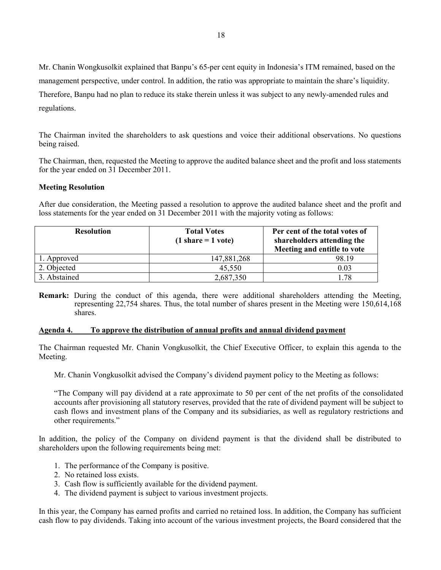Mr. Chanin Wongkusolkit explained that Banpu's 65-per cent equity in Indonesia's ITM remained, based on the management perspective, under control. In addition, the ratio was appropriate to maintain the share's liquidity. Therefore, Banpu had no plan to reduce its stake therein unless it was subject to any newly-amended rules and regulations.

The Chairman invited the shareholders to ask questions and voice their additional observations. No questions being raised.

The Chairman, then, requested the Meeting to approve the audited balance sheet and the profit and loss statements for the year ended on 31 December 2011.

## **Meeting Resolution**

After due consideration, the Meeting passed a resolution to approve the audited balance sheet and the profit and loss statements for the year ended on 31 December 2011 with the majority voting as follows:

| <b>Resolution</b> | <b>Total Votes</b><br>$(1 share = 1 vote)$ | Per cent of the total votes of<br>shareholders attending the<br>Meeting and entitle to vote |
|-------------------|--------------------------------------------|---------------------------------------------------------------------------------------------|
| 1. Approved       | 147,881,268                                | 98.19                                                                                       |
| 2. Objected       | 45,550                                     | 0.03                                                                                        |
| 3. Abstained      | 2,687,350                                  | .78                                                                                         |

**Remark:** During the conduct of this agenda, there were additional shareholders attending the Meeting, representing 22,754 shares. Thus, the total number of shares present in the Meeting were 150,614,168 shares.

#### **Agenda 4. To approve the distribution of annual profits and annual dividend payment**

The Chairman requested Mr. Chanin Vongkusolkit, the Chief Executive Officer, to explain this agenda to the Meeting.

Mr. Chanin Vongkusolkit advised the Company's dividend payment policy to the Meeting as follows:

"The Company will pay dividend at a rate approximate to 50 per cent of the net profits of the consolidated accounts after provisioning all statutory reserves, provided that the rate of dividend payment will be subject to cash flows and investment plans of the Company and its subsidiaries, as well as regulatory restrictions and other requirements."

In addition, the policy of the Company on dividend payment is that the dividend shall be distributed to shareholders upon the following requirements being met:

- 1. The performance of the Company is positive.
- 2. No retained loss exists.
- 3. Cash flow is sufficiently available for the dividend payment.
- 4. The dividend payment is subject to various investment projects.

In this year, the Company has earned profits and carried no retained loss. In addition, the Company has sufficient cash flow to pay dividends. Taking into account of the various investment projects, the Board considered that the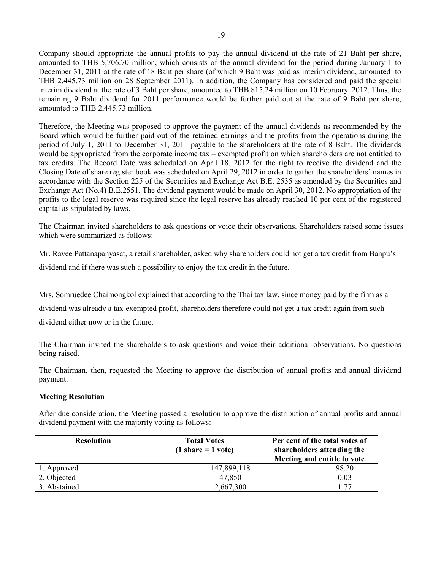Company should appropriate the annual profits to pay the annual dividend at the rate of 21 Baht per share, amounted to THB 5,706.70 million, which consists of the annual dividend for the period during January 1 to December 31, 2011 at the rate of 18 Baht per share (of which 9 Baht was paid as interim dividend, amounted to THB 2,445.73 million on 28 September 2011). In addition, the Company has considered and paid the special interim dividend at the rate of 3 Baht per share, amounted to THB 815.24 million on 10 February 2012. Thus, the remaining 9 Baht dividend for 2011 performance would be further paid out at the rate of 9 Baht per share, amounted to THB 2,445.73 million.

Therefore, the Meeting was proposed to approve the payment of the annual dividends as recommended by the Board which would be further paid out of the retained earnings and the profits from the operations during the period of July 1, 2011 to December 31, 2011 payable to the shareholders at the rate of 8 Baht. The dividends would be appropriated from the corporate income tax – exempted profit on which shareholders are not entitled to tax credits. The Record Date was scheduled on April 18, 2012 for the right to receive the dividend and the Closing Date of share register book was scheduled on April 29, 2012 in order to gather the shareholders' names in accordance with the Section 225 of the Securities and Exchange Act B.E. 2535 as amended by the Securities and Exchange Act (No.4) B.E.2551. The dividend payment would be made on April 30, 2012. No appropriation of the profits to the legal reserve was required since the legal reserve has already reached 10 per cent of the registered capital as stipulated by laws.

The Chairman invited shareholders to ask questions or voice their observations. Shareholders raised some issues which were summarized as follows:

Mr. Ravee Pattanapanyasat, a retail shareholder, asked why shareholders could not get a tax credit from Banpu's dividend and if there was such a possibility to enjoy the tax credit in the future.

Mrs. Somruedee Chaimongkol explained that according to the Thai tax law, since money paid by the firm as a dividend was already a tax-exempted profit, shareholders therefore could not get a tax credit again from such dividend either now or in the future.

The Chairman invited the shareholders to ask questions and voice their additional observations. No questions being raised.

The Chairman, then, requested the Meeting to approve the distribution of annual profits and annual dividend payment.

# **Meeting Resolution**

After due consideration, the Meeting passed a resolution to approve the distribution of annual profits and annual dividend payment with the majority voting as follows:

| <b>Resolution</b> | <b>Total Votes</b><br>$(1 share = 1 vote)$ | Per cent of the total votes of<br>shareholders attending the<br>Meeting and entitle to vote |
|-------------------|--------------------------------------------|---------------------------------------------------------------------------------------------|
| 1. Approved       | 147,899,118                                | 98.20                                                                                       |
| 2. Objected       | 47,850                                     | 0.03                                                                                        |
| 3. Abstained      | 2,667,300                                  | 77                                                                                          |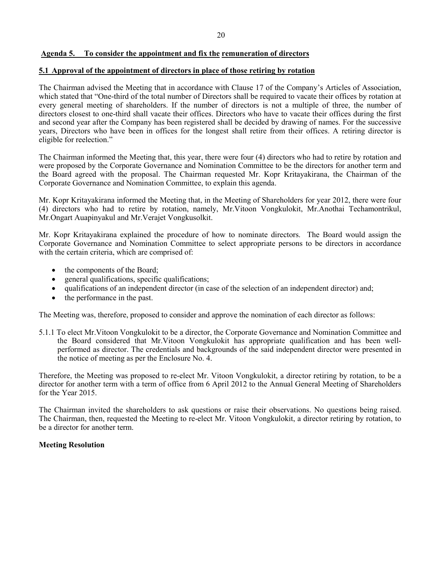## **Agenda 5. To consider the appointment and fix the remuneration of directors**

## **5.1 Approval of the appointment of directors in place of those retiring by rotation**

The Chairman advised the Meeting that in accordance with Clause 17 of the Company's Articles of Association, which stated that "One-third of the total number of Directors shall be required to vacate their offices by rotation at every general meeting of shareholders. If the number of directors is not a multiple of three, the number of directors closest to one-third shall vacate their offices. Directors who have to vacate their offices during the first and second year after the Company has been registered shall be decided by drawing of names. For the successive years, Directors who have been in offices for the longest shall retire from their offices. A retiring director is eligible for reelection."

The Chairman informed the Meeting that, this year, there were four (4) directors who had to retire by rotation and were proposed by the Corporate Governance and Nomination Committee to be the directors for another term and the Board agreed with the proposal. The Chairman requested Mr. Kopr Kritayakirana, the Chairman of the Corporate Governance and Nomination Committee, to explain this agenda.

Mr. Kopr Kritayakirana informed the Meeting that, in the Meeting of Shareholders for year 2012, there were four (4) directors who had to retire by rotation, namely, Mr.Vitoon Vongkulokit, Mr.Anothai Techamontrikul, Mr.Ongart Auapinyakul and Mr.Verajet Vongkusolkit.

Mr. Kopr Kritayakirana explained the procedure of how to nominate directors. The Board would assign the Corporate Governance and Nomination Committee to select appropriate persons to be directors in accordance with the certain criteria, which are comprised of:

- the components of the Board;
- general qualifications, specific qualifications;
- qualifications of an independent director (in case of the selection of an independent director) and;
- the performance in the past.

The Meeting was, therefore, proposed to consider and approve the nomination of each director as follows:

5.1.1 To elect Mr.Vitoon Vongkulokit to be a director, the Corporate Governance and Nomination Committee and the Board considered that Mr.Vitoon Vongkulokit has appropriate qualification and has been wellperformed as director. The credentials and backgrounds of the said independent director were presented in the notice of meeting as per the Enclosure No. 4.

Therefore, the Meeting was proposed to re-elect Mr. Vitoon Vongkulokit, a director retiring by rotation, to be a director for another term with a term of office from 6 April 2012 to the Annual General Meeting of Shareholders for the Year 2015.

The Chairman invited the shareholders to ask questions or raise their observations. No questions being raised. The Chairman, then, requested the Meeting to re-elect Mr. Vitoon Vongkulokit, a director retiring by rotation, to be a director for another term.

#### **Meeting Resolution**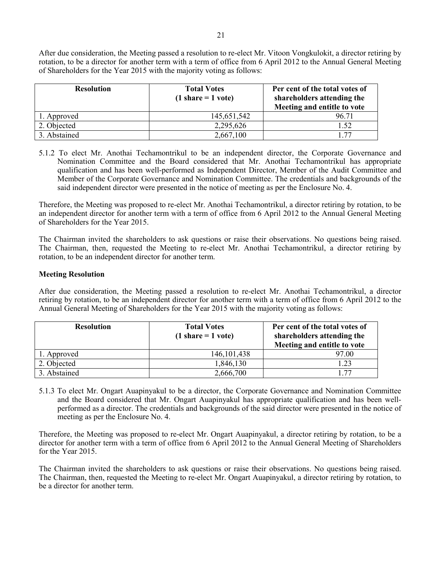After due consideration, the Meeting passed a resolution to re-elect Mr. Vitoon Vongkulokit, a director retiring by rotation, to be a director for another term with a term of office from 6 April 2012 to the Annual General Meeting of Shareholders for the Year 2015 with the majority voting as follows:

| <b>Resolution</b> | <b>Total Votes</b><br>$(1 share = 1 vote)$ | Per cent of the total votes of<br>shareholders attending the<br>Meeting and entitle to vote |
|-------------------|--------------------------------------------|---------------------------------------------------------------------------------------------|
| 1. Approved       | 145,651,542                                | 96.71                                                                                       |
| 2. Objected       | 2,295,626                                  | .52                                                                                         |
| 3. Abstained      | 2,667,100                                  | 77                                                                                          |

5.1.2 To elect Mr. Anothai Techamontrikul to be an independent director, the Corporate Governance and Nomination Committee and the Board considered that Mr. Anothai Techamontrikul has appropriate qualification and has been well-performed as Independent Director, Member of the Audit Committee and Member of the Corporate Governance and Nomination Committee. The credentials and backgrounds of the said independent director were presented in the notice of meeting as per the Enclosure No. 4.

Therefore, the Meeting was proposed to re-elect Mr. Anothai Techamontrikul, a director retiring by rotation, to be an independent director for another term with a term of office from 6 April 2012 to the Annual General Meeting of Shareholders for the Year 2015.

The Chairman invited the shareholders to ask questions or raise their observations. No questions being raised. The Chairman, then, requested the Meeting to re-elect Mr. Anothai Techamontrikul, a director retiring by rotation, to be an independent director for another term.

# **Meeting Resolution**

After due consideration, the Meeting passed a resolution to re-elect Mr. Anothai Techamontrikul, a director retiring by rotation, to be an independent director for another term with a term of office from 6 April 2012 to the Annual General Meeting of Shareholders for the Year 2015 with the majority voting as follows:

| <b>Resolution</b> | <b>Total Votes</b><br>$(1 share = 1 vote)$ | Per cent of the total votes of<br>shareholders attending the<br>Meeting and entitle to vote |
|-------------------|--------------------------------------------|---------------------------------------------------------------------------------------------|
| 1. Approved       | 146, 101, 438                              | 97.00                                                                                       |
| 2. Objected       | 1,846,130                                  | .23                                                                                         |
| 3. Abstained      | 2,666,700                                  | 177                                                                                         |

5.1.3 To elect Mr. Ongart Auapinyakul to be a director, the Corporate Governance and Nomination Committee and the Board considered that Mr. Ongart Auapinyakul has appropriate qualification and has been wellperformed as a director. The credentials and backgrounds of the said director were presented in the notice of meeting as per the Enclosure No. 4.

Therefore, the Meeting was proposed to re-elect Mr. Ongart Auapinyakul, a director retiring by rotation, to be a director for another term with a term of office from 6 April 2012 to the Annual General Meeting of Shareholders for the Year 2015.

The Chairman invited the shareholders to ask questions or raise their observations. No questions being raised. The Chairman, then, requested the Meeting to re-elect Mr. Ongart Auapinyakul, a director retiring by rotation, to be a director for another term.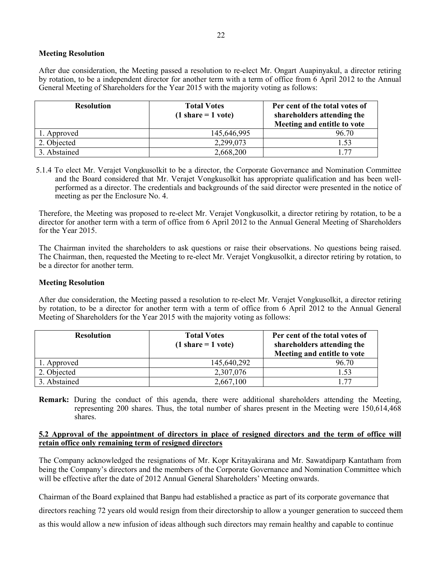# **Meeting Resolution**

After due consideration, the Meeting passed a resolution to re-elect Mr. Ongart Auapinyakul, a director retiring by rotation, to be a independent director for another term with a term of office from 6 April 2012 to the Annual General Meeting of Shareholders for the Year 2015 with the majority voting as follows:

| <b>Resolution</b> | <b>Total Votes</b><br>$(1 \text{ share} = 1 \text{ vote})$ | Per cent of the total votes of<br>shareholders attending the<br>Meeting and entitle to vote |
|-------------------|------------------------------------------------------------|---------------------------------------------------------------------------------------------|
| 1. Approved       | 145,646,995                                                | 96.70                                                                                       |
| 2. Objected       | 2,299,073                                                  | 1.53                                                                                        |
| 3. Abstained      | 2,668,200                                                  | 77                                                                                          |

5.1.4 To elect Mr. Verajet Vongkusolkit to be a director, the Corporate Governance and Nomination Committee and the Board considered that Mr. Verajet Vongkusolkit has appropriate qualification and has been wellperformed as a director. The credentials and backgrounds of the said director were presented in the notice of meeting as per the Enclosure No. 4.

Therefore, the Meeting was proposed to re-elect Mr. Verajet Vongkusolkit, a director retiring by rotation, to be a director for another term with a term of office from 6 April 2012 to the Annual General Meeting of Shareholders for the Year 2015.

The Chairman invited the shareholders to ask questions or raise their observations. No questions being raised. The Chairman, then, requested the Meeting to re-elect Mr. Verajet Vongkusolkit, a director retiring by rotation, to be a director for another term.

## **Meeting Resolution**

After due consideration, the Meeting passed a resolution to re-elect Mr. Verajet Vongkusolkit, a director retiring by rotation, to be a director for another term with a term of office from 6 April 2012 to the Annual General Meeting of Shareholders for the Year 2015 with the majority voting as follows:

| <b>Resolution</b> | <b>Total Votes</b><br>$(1 share = 1 vote)$ | Per cent of the total votes of<br>shareholders attending the<br>Meeting and entitle to vote |
|-------------------|--------------------------------------------|---------------------------------------------------------------------------------------------|
| 1. Approved       | 145,640,292                                | 96.70                                                                                       |
| 2. Objected       | 2,307,076                                  | 1.53                                                                                        |
| 3. Abstained      | 2,667,100                                  | 77                                                                                          |

**Remark:** During the conduct of this agenda, there were additional shareholders attending the Meeting, representing 200 shares. Thus, the total number of shares present in the Meeting were 150,614,468 shares.

# **5.2 Approval of the appointment of directors in place of resigned directors and the term of office will retain office only remaining term of resigned directors**

The Company acknowledged the resignations of Mr. Kopr Kritayakirana and Mr. Sawatdiparp Kantatham from being the Company's directors and the members of the Corporate Governance and Nomination Committee which will be effective after the date of 2012 Annual General Shareholders' Meeting onwards.

Chairman of the Board explained that Banpu had established a practice as part of its corporate governance that

directors reaching 72 years old would resign from their directorship to allow a younger generation to succeed them

as this would allow a new infusion of ideas although such directors may remain healthy and capable to continue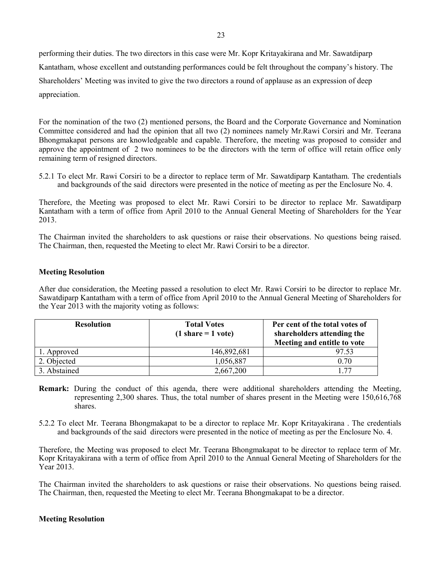performing their duties. The two directors in this case were Mr. Kopr Kritayakirana and Mr. Sawatdiparp Kantatham, whose excellent and outstanding performances could be felt throughout the company's history. The Shareholders' Meeting was invited to give the two directors a round of applause as an expression of deep appreciation.

For the nomination of the two (2) mentioned persons, the Board and the Corporate Governance and Nomination Committee considered and had the opinion that all two (2) nominees namely Mr.Rawi Corsiri and Mr. Teerana Bhongmakapat persons are knowledgeable and capable. Therefore, the meeting was proposed to consider and approve the appointment of 2 two nominees to be the directors with the term of office will retain office only remaining term of resigned directors.

5.2.1 To elect Mr. Rawi Corsiri to be a director to replace term of Mr. Sawatdiparp Kantatham. The credentials and backgrounds of the said directors were presented in the notice of meeting as per the Enclosure No. 4.

Therefore, the Meeting was proposed to elect Mr. Rawi Corsiri to be director to replace Mr. Sawatdiparp Kantatham with a term of office from April 2010 to the Annual General Meeting of Shareholders for the Year 2013.

The Chairman invited the shareholders to ask questions or raise their observations. No questions being raised. The Chairman, then, requested the Meeting to elect Mr. Rawi Corsiri to be a director.

## **Meeting Resolution**

After due consideration, the Meeting passed a resolution to elect Mr. Rawi Corsiri to be director to replace Mr. Sawatdiparp Kantatham with a term of office from April 2010 to the Annual General Meeting of Shareholders for the Year 2013 with the majority voting as follows:

| <b>Resolution</b> | <b>Total Votes</b><br>$(1 share = 1 vote)$ | Per cent of the total votes of<br>shareholders attending the<br>Meeting and entitle to vote |
|-------------------|--------------------------------------------|---------------------------------------------------------------------------------------------|
| 1. Approved       | 146,892,681                                | 97.53                                                                                       |
| 2. Objected       | 1,056,887                                  | 0.70                                                                                        |
| 3. Abstained      | 2,667,200                                  | 177                                                                                         |

- **Remark:** During the conduct of this agenda, there were additional shareholders attending the Meeting, representing 2,300 shares. Thus, the total number of shares present in the Meeting were 150,616,768 shares.
- 5.2.2 To elect Mr. Teerana Bhongmakapat to be a director to replace Mr. Kopr Kritayakirana . The credentials and backgrounds of the said directors were presented in the notice of meeting as per the Enclosure No. 4.

Therefore, the Meeting was proposed to elect Mr. Teerana Bhongmakapat to be director to replace term of Mr. Kopr Kritayakirana with a term of office from April 2010 to the Annual General Meeting of Shareholders for the Year 2013.

The Chairman invited the shareholders to ask questions or raise their observations. No questions being raised. The Chairman, then, requested the Meeting to elect Mr. Teerana Bhongmakapat to be a director.

#### **Meeting Resolution**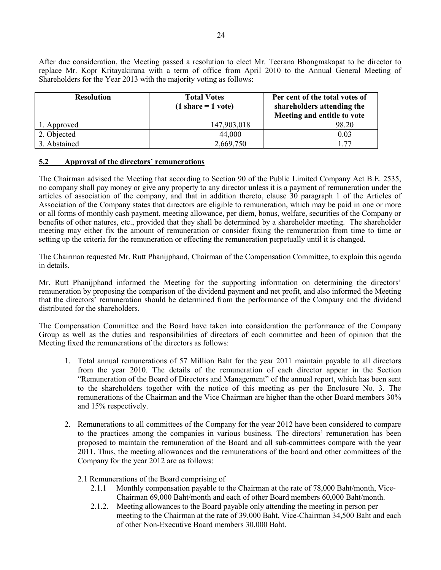After due consideration, the Meeting passed a resolution to elect Mr. Teerana Bhongmakapat to be director to replace Mr. Kopr Kritayakirana with a term of office from April 2010 to the Annual General Meeting of Shareholders for the Year 2013 with the majority voting as follows:

| <b>Resolution</b> | <b>Total Votes</b><br>$(1 share = 1 vote)$ | Per cent of the total votes of<br>shareholders attending the<br>Meeting and entitle to vote |  |  |
|-------------------|--------------------------------------------|---------------------------------------------------------------------------------------------|--|--|
| 1. Approved       | 147,903,018                                | 98.20                                                                                       |  |  |
| 2. Objected       | 44,000                                     | 0.03                                                                                        |  |  |
| 3. Abstained      | 2,669,750                                  | 77                                                                                          |  |  |

## **5.2 Approval of the directors' remunerations**

The Chairman advised the Meeting that according to Section 90 of the Public Limited Company Act B.E. 2535, no company shall pay money or give any property to any director unless it is a payment of remuneration under the articles of association of the company, and that in addition thereto, clause 30 paragraph 1 of the Articles of Association of the Company states that directors are eligible to remuneration, which may be paid in one or more or all forms of monthly cash payment, meeting allowance, per diem, bonus, welfare, securities of the Company or benefits of other natures, etc., provided that they shall be determined by a shareholder meeting. The shareholder meeting may either fix the amount of remuneration or consider fixing the remuneration from time to time or setting up the criteria for the remuneration or effecting the remuneration perpetually until it is changed.

The Chairman requested Mr. Rutt Phanijphand, Chairman of the Compensation Committee, to explain this agenda in details.

Mr. Rutt Phanijphand informed the Meeting for the supporting information on determining the directors' remuneration by proposing the comparison of the dividend payment and net profit, and also informed the Meeting that the directors' remuneration should be determined from the performance of the Company and the dividend distributed for the shareholders.

The Compensation Committee and the Board have taken into consideration the performance of the Company Group as well as the duties and responsibilities of directors of each committee and been of opinion that the Meeting fixed the remunerations of the directors as follows:

- 1. Total annual remunerations of 57 Million Baht for the year 2011 maintain payable to all directors from the year 2010. The details of the remuneration of each director appear in the Section "Remuneration of the Board of Directors and Management" of the annual report, which has been sent to the shareholders together with the notice of this meeting as per the Enclosure No. 3. The remunerations of the Chairman and the Vice Chairman are higher than the other Board members 30% and 15% respectively.
- 2. Remunerations to all committees of the Company for the year 2012 have been considered to compare to the practices among the companies in various business. The directors' remuneration has been proposed to maintain the remuneration of the Board and all sub-committees compare with the year 2011. Thus, the meeting allowances and the remunerations of the board and other committees of the Company for the year 2012 are as follows:
	- 2.1 Remunerations of the Board comprising of
		- 2.1.1 Monthly compensation payable to the Chairman at the rate of 78,000 Baht/month, Vice-Chairman 69,000 Baht/month and each of other Board members 60,000 Baht/month.
		- 2.1.2. Meeting allowances to the Board payable only attending the meeting in person per meeting to the Chairman at the rate of 39,000 Baht, Vice-Chairman 34,500 Baht and each of other Non-Executive Board members 30,000 Baht.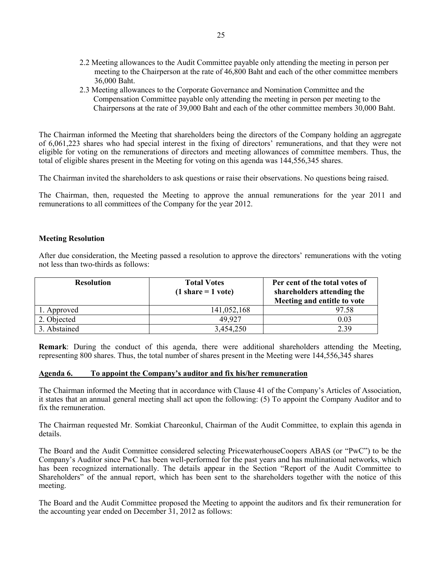- 2.2 Meeting allowances to the Audit Committee payable only attending the meeting in person per meeting to the Chairperson at the rate of 46,800 Baht and each of the other committee members 36,000 Baht.
- 2.3 Meeting allowances to the Corporate Governance and Nomination Committee and the Compensation Committee payable only attending the meeting in person per meeting to the Chairpersons at the rate of 39,000 Baht and each of the other committee members 30,000 Baht.

The Chairman informed the Meeting that shareholders being the directors of the Company holding an aggregate of 6,061,223 shares who had special interest in the fixing of directors' remunerations, and that they were not eligible for voting on the remunerations of directors and meeting allowances of committee members. Thus, the total of eligible shares present in the Meeting for voting on this agenda was 144,556,345 shares.

The Chairman invited the shareholders to ask questions or raise their observations. No questions being raised.

The Chairman, then, requested the Meeting to approve the annual remunerations for the year 2011 and remunerations to all committees of the Company for the year 2012.

## **Meeting Resolution**

After due consideration, the Meeting passed a resolution to approve the directors' remunerations with the voting not less than two-thirds as follows:

| <b>Resolution</b> | <b>Total Votes</b><br>$(1 share = 1 vote)$ | Per cent of the total votes of<br>shareholders attending the<br>Meeting and entitle to vote |  |
|-------------------|--------------------------------------------|---------------------------------------------------------------------------------------------|--|
| 1. Approved       | 141,052,168                                | 97.58                                                                                       |  |
| 2. Objected       | 49 927                                     | 0.03                                                                                        |  |
| 3. Abstained      | 3,454,250                                  | 2.39                                                                                        |  |

**Remark**: During the conduct of this agenda, there were additional shareholders attending the Meeting, representing 800 shares. Thus, the total number of shares present in the Meeting were 144,556,345 shares

## **Agenda 6. To appoint the Company's auditor and fix his/her remuneration**

The Chairman informed the Meeting that in accordance with Clause 41 of the Company's Articles of Association, it states that an annual general meeting shall act upon the following: (5) To appoint the Company Auditor and to fix the remuneration.

The Chairman requested Mr. Somkiat Chareonkul, Chairman of the Audit Committee, to explain this agenda in details.

The Board and the Audit Committee considered selecting PricewaterhouseCoopers ABAS (or "PwC") to be the Company's Auditor since PwC has been well-performed for the past years and has multinational networks, which has been recognized internationally. The details appear in the Section "Report of the Audit Committee to Shareholders" of the annual report, which has been sent to the shareholders together with the notice of this meeting.

The Board and the Audit Committee proposed the Meeting to appoint the auditors and fix their remuneration for the accounting year ended on December 31, 2012 as follows: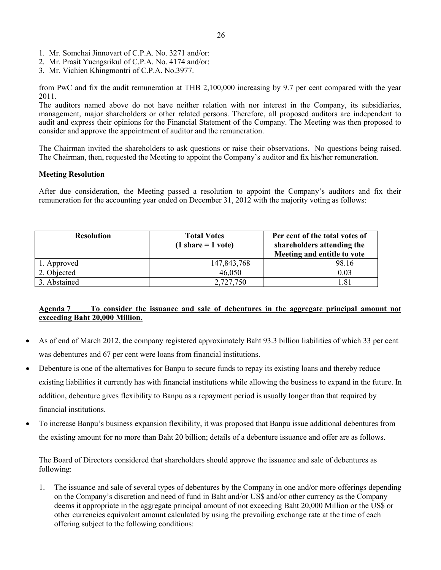- 1. Mr. Somchai Jinnovart of C.P.A. No. 3271 and/or:
- 2. Mr. Prasit Yuengsrikul of C.P.A. No. 4174 and/or:
- 3. Mr. Vichien Khingmontri of C.P.A. No.3977.

from PwC and fix the audit remuneration at THB 2,100,000 increasing by 9.7 per cent compared with the year 2011.

The auditors named above do not have neither relation with nor interest in the Company, its subsidiaries, management, major shareholders or other related persons. Therefore, all proposed auditors are independent to audit and express their opinions for the Financial Statement of the Company. The Meeting was then proposed to consider and approve the appointment of auditor and the remuneration.

The Chairman invited the shareholders to ask questions or raise their observations. No questions being raised. The Chairman, then, requested the Meeting to appoint the Company's auditor and fix his/her remuneration.

## **Meeting Resolution**

After due consideration, the Meeting passed a resolution to appoint the Company's auditors and fix their remuneration for the accounting year ended on December 31, 2012 with the majority voting as follows:

| <b>Resolution</b> | <b>Total Votes</b><br>$(1 share = 1 vote)$ | Per cent of the total votes of<br>shareholders attending the<br>Meeting and entitle to vote |  |
|-------------------|--------------------------------------------|---------------------------------------------------------------------------------------------|--|
| 1. Approved       | 147,843,768                                | 98.16                                                                                       |  |
| 2. Objected       | 46,050                                     | 0.03                                                                                        |  |
| 3. Abstained      | 2,727,750                                  | 181                                                                                         |  |

# **Agenda 7 To consider the issuance and sale of debentures in the aggregate principal amount not exceeding Baht 20,000 Million.**

- As of end of March 2012, the company registered approximately Baht 93.3 billion liabilities of which 33 per cent was debentures and 67 per cent were loans from financial institutions.
- Debenture is one of the alternatives for Banpu to secure funds to repay its existing loans and thereby reduce existing liabilities it currently has with financial institutions while allowing the business to expand in the future. In addition, debenture gives flexibility to Banpu as a repayment period is usually longer than that required by financial institutions.
- To increase Banpu's business expansion flexibility, it was proposed that Banpu issue additional debentures from the existing amount for no more than Baht 20 billion; details of a debenture issuance and offer are as follows.

The Board of Directors considered that shareholders should approve the issuance and sale of debentures as following:

1. The issuance and sale of several types of debentures by the Company in one and/or more offerings depending on the Company's discretion and need of fund in Baht and/or US\$ and/or other currency as the Company deems it appropriate in the aggregate principal amount of not exceeding Baht 20,000 Million or the US\$ or other currencies equivalent amount calculated by using the prevailing exchange rate at the time of each offering subject to the following conditions: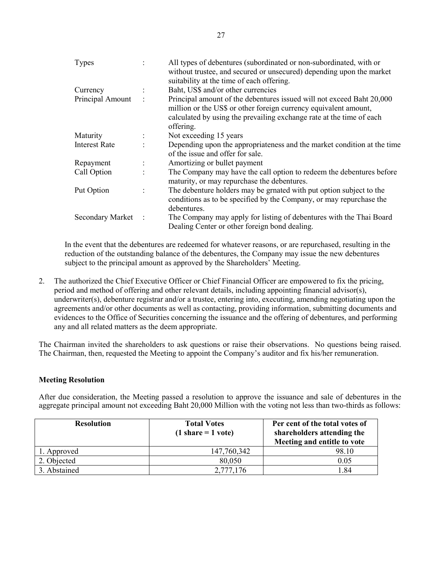| Types                |                | All types of debentures (subordinated or non-subordinated, with or<br>without trustee, and secured or unsecured) depending upon the market<br>suitability at the time of each offering.                                        |
|----------------------|----------------|--------------------------------------------------------------------------------------------------------------------------------------------------------------------------------------------------------------------------------|
| Currency             |                | Baht, US\$ and/or other currencies                                                                                                                                                                                             |
| Principal Amount     | $\ddot{\cdot}$ | Principal amount of the debentures issued will not exceed Baht 20,000<br>million or the US\$ or other foreign currency equivalent amount,<br>calculated by using the prevailing exchange rate at the time of each<br>offering. |
| Maturity             |                | Not exceeding 15 years                                                                                                                                                                                                         |
| <b>Interest Rate</b> |                | Depending upon the appropriateness and the market condition at the time<br>of the issue and offer for sale.                                                                                                                    |
| Repayment            |                | Amortizing or bullet payment                                                                                                                                                                                                   |
| Call Option          |                | The Company may have the call option to redeem the debentures before<br>maturity, or may repurchase the debentures.                                                                                                            |
| Put Option           |                | The debenture holders may be grnated with put option subject to the<br>conditions as to be specified by the Company, or may repurchase the<br>debentures.                                                                      |
| Secondary Market     | $\mathbb{R}^2$ | The Company may apply for listing of debentures with the Thai Board<br>Dealing Center or other foreign bond dealing.                                                                                                           |

In the event that the debentures are redeemed for whatever reasons, or are repurchased, resulting in the reduction of the outstanding balance of the debentures, the Company may issue the new debentures subject to the principal amount as approved by the Shareholders' Meeting.

2. The authorized the Chief Executive Officer or Chief Financial Officer are empowered to fix the pricing, period and method of offering and other relevant details, including appointing financial advisor(s), underwriter(s), debenture registrar and/or a trustee, entering into, executing, amending negotiating upon the agreements and/or other documents as well as contacting, providing information, submitting documents and evidences to the Office of Securities concerning the issuance and the offering of debentures, and performing any and all related matters as the deem appropriate.

The Chairman invited the shareholders to ask questions or raise their observations. No questions being raised. The Chairman, then, requested the Meeting to appoint the Company's auditor and fix his/her remuneration.

# **Meeting Resolution**

After due consideration, the Meeting passed a resolution to approve the issuance and sale of debentures in the aggregate principal amount not exceeding Baht 20,000 Million with the voting not less than two-thirds as follows:

| <b>Resolution</b> | <b>Total Votes</b><br>$(1 \text{ share} = 1 \text{ vote})$ | Per cent of the total votes of<br>shareholders attending the<br>Meeting and entitle to vote |
|-------------------|------------------------------------------------------------|---------------------------------------------------------------------------------------------|
| 1. Approved       | 147,760,342                                                | 98.10                                                                                       |
| 2. Objected       | 80,050                                                     | 0.05                                                                                        |
| 3. Abstained      | 2,777,176                                                  | .84                                                                                         |